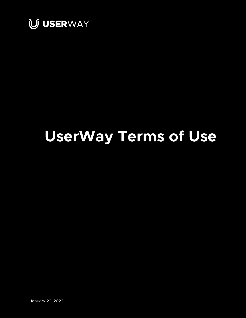

# **UserWay Terms of Use**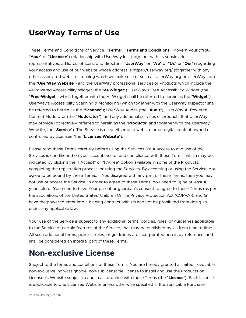#### **UserWay Terms of Use**

These Terms and Conditions of Service ("**Terms**", "**Terms and Conditions**") govern your ("**You**", "**Your**" or "**Licensee**") relationship with UserWay Inc. (together with its subsidiaries, representatives, affiliates, officers, and directors, "**UserWay**" or "**We**" or "**Us**" or "**Our**") regarding your access and use of our website whose address is https://userway.org/ (together with any other associated websites running which we make use of such as UserWay.org or UserWay.com the "**UserWay Website**") and the UserWay professional services or Products which include the AI-Powered Accessibility Widget (the "**AI-Widget**") UserWay's Free Accessibility Widget (the "**Free-Widget**", which together with the AI-Widget shall be referred to herein as the "**Widget**"); UserWay's Accessibility Scanning & Monitoring (which together with the UserWay Inspector shall be referred to herein as the "**Scanner**"); UserWay Audits (the "**Audit**"), UserWay AI-Powered Content Moderator (the "**Moderator**"); and any additional services or products that UserWay may provide (collectively referred to herein as the "**Products**" and together with the UserWay Website, the "**Service**"). The Service is used either on a website or on digital content owned or controlled by Licensee (the "**Licensee Website**").

Please read these Terms carefully before using the Services. Your access to and use of the Services is conditioned on your acceptance of and compliance with these Terms, which may be indicated by clicking the "I Accept" or "I Agree" option available in some of the Products, completing the registration process, or using the Services. By accessing or using the Service, You agree to be bound by these Terms. If You disagree with any part of these Terms, then you may not use or access the Service. In order to agree to these Terms, You need to (i) be at least 18 years old or You need to have Your parent or guardian's consent to agree to these Terms (as per the stipulations of the United States' Children Online Privacy Protection Act (COPPA)); and (ii) have the power to enter into a binding contract with Us and not be prohibited from doing so under any applicable law.

Your use of the Service is subject to any additional terms, policies, rules, or guidelines applicable to the Service or certain features of the Service, that may be published by Us from time to time. All such additional terms, policies, rules, or guidelines are incorporated herein by reference, and shall be considered an integral part of these Terms.

#### **Non-exclusive License**

Subject to the terms and conditions of these Terms, You are hereby granted a limited, revocable, non-exclusive, non-assignable, non-sublicensable, license to install and use the Products on Licensee's Website subject to and in accordance with these Terms (the "License"). Each License is applicable to one Licensee Website unless otherwise specified in the applicable Purchase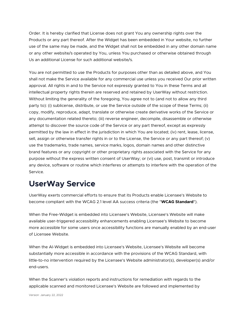Order. It is hereby clarified that License does not grant You any ownership rights over the Products or any part thereof. After the Widget has been embedded in Your website, no further use of the same may be made, and the Widget shall not be embedded in any other domain name or any other website/s operated by You, unless You purchased or otherwise obtained through Us an additional License for such additional website/s.

You are not permitted to use the Products for purposes other than as detailed above, and You shall not make the Service available for any commercial use unless you received Our prior written approval. All rights in and to the Service not expressly granted to You in these Terms and all intellectual property rights therein are reserved and retained by UserWay without restriction. Without limiting the generality of the foregoing, You agree not to (and not to allow any third party to): (i) sublicense, distribute, or use the Service outside of the scope of these Terms; (ii) copy, modify, reproduce, adapt, translate or otherwise create derivative works of the Service or any documentation related thereto; (iii) reverse engineer, decompile, disassemble or otherwise attempt to discover the source code of the Service or any part thereof, except as expressly permitted by the law in effect in the jurisdiction in which You are located; (iv) rent, lease, license, sell, assign or otherwise transfer rights in or to the License, the Service or any part thereof; (v) use the trademarks, trade names, service marks, logos, domain names and other distinctive brand features or any copyright or other proprietary rights associated with the Service for any purpose without the express written consent of UserWay; or (vi) use, post, transmit or introduce any device, software or routine which interferes or attempts to interfere with the operation of the Service.

## **UserWay Service**

UserWay exerts commercial efforts to ensure that its Products enable Licensee's Website to become compliant with the WCAG 2.1 level AA success criteria (the "**WCAG Standard**").

When the Free-Widget is embedded into Licensee's Website, Licensee's Website will make available user-triggered accessibility enhancements enabling Licensee's Website to become more accessible for some users once accessibility functions are manually enabled by an end-user of Licensee Website.

When the AI-Widget is embedded into Licensee's Website, Licensee's Website will become substantially more accessible in accordance with the provisions of the WCAG Standard, with little-to-no intervention required by the Licensee's Website administrator(s), developer(s) and/or end-users.

When the Scanner's violation reports and instructions for remediation with regards to the applicable scanned and monitored Licensee's Website are followed and implemented by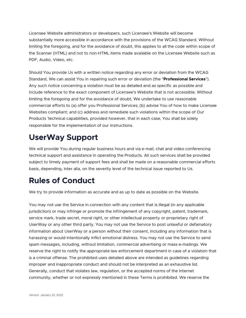Licensee Website administrators or developers, such Licensee's Website will become substantially more accessible in accordance with the provisions of the WCAG Standard. Without limiting the foregoing, and for the avoidance of doubt, this applies to all the code within scope of the Scanner (HTML) and not to non-HTML items made available on the Licensee Website such as PDF, Audio, Video, etc.

Should You provide Us with a written notice regarding any error or deviation from the WCAG Standard, We can assist You in repairing such error or deviation (the "**Professional Services**"). Any such notice concerning a violation must be as detailed and as specific as possible and include reference to the exact component of Licensee's Website that is not accessible. Without limiting the foregoing and for the avoidance of doubt, We undertake to use reasonable commercial efforts to (a) offer you Professional Services; (b) advise You of how to make Licensee Websites compliant; and (c) address and remediate such violations within the scope of Our Products 'technical capabilities, provided however, that in each case, You shall be solely responsible for the implementation of our instructions.

## **UserWay Support**

We will provide You during regular business hours and via e-mail, chat and video conferencing technical support and assistance in operating the Products. All such services shall be provided subject to timely payment of support fees and shall be made on a reasonable commercial efforts basis, depending, inter alia, on the severity level of the technical issue reported to Us.

## **Rules of Conduct**

We try to provide information as accurate and as up to date as possible on the Website.

You may not use the Service in connection with any content that is illegal (in any applicable jurisdiction) or may infringe or promote the infringement of any copyright, patent, trademark, service mark, trade secret, moral right, or other intellectual property or proprietary right of UserWay or any other third party. You may not use the Service to post unlawful or defamatory information about UserWay or a person without their consent, including any information that is harassing or would intentionally inflict emotional distress. You may not use the Service to send spam messages, including, without limitation, commercial advertising or mass e-mailings. We reserve the right to notify the appropriate law enforcement department in case of a violation that is a criminal offense. The prohibited uses detailed above are intended as guidelines regarding improper and inappropriate conduct and should not be interpreted as an exhaustive list. Generally, conduct that violates law, regulation, or the accepted norms of the Internet community, whether or not expressly mentioned in these Terms is prohibited. We reserve the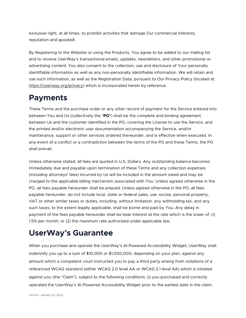exclusive right, at all times, to prohibit activities that damage Our commercial interests, reputation and goodwill.

By Registering to the Website or using the Products, You agree to be added to our mailing list and to receive UserWay's transactional emails, updates, newsletters, and other promotional or advertising content. You also consent to the collection, use and disclosure of Your personally identifiable information as well as any non-personally identifiable information. We will retain and use such information, as well as the Registration Data, pursuant to Our Privacy Policy (located at: https://userway.org/privacy) which is incorporated herein by reference.

## **Payments**

These Terms and the purchase order or any other record of payment for the Service entered into between You and Us (collectively the "**PO**") shall be the complete and binding agreement between Us and the customer identified in the PO, covering the License to use the Service, and the printed and/or electronic user documentation accompanying the Service, and/or maintenance, support or other services ordered thereunder, and is effective when executed. In any event of a conflict or a contradiction between the terms of the PO and these Terms, the PO shall prevail.

Unless otherwise stated, all fees are quoted in U.S. Dollars. Any outstanding balance becomes immediately due and payable upon termination of these Terms and any collection expenses (including attorneys' fees) incurred by Us will be included in the amount owed and may be charged to the applicable billing mechanism associated with You. Unless agreed otherwise in the PO, all fees payable hereunder shall be prepaid. Unless agreed otherwise in the PO, all fees payable hereunder, do not include local, state or federal sales, use, excise, personal property, VAT or other similar taxes or duties, including, without limitation, any withholding tax, and any such taxes, to the extent legally applicable, shall be borne and paid by You. Any delay in payment of the fees payable hereunder shall be bear interest at the rate which is the lower of: (i) 1.5% per month; or (2) the maximum rate authorized under applicable law.

## **UserWay's Guarantee**

When you purchase and operate the UserWay's AI-Powered Accessibility Widget, UserWay shall indemnify you up to a sum of \$10,000 or \$1,000,000, depending on your plan, against any amount which a competent court instructed you to pay a third party arising from violations of a referenced WCAG standard (either WCAG 2.0 level AA or WCAG 2.1 level AA) which is initiated against you (the "Claim"), subject to the following conditions: (i) you purchased and correctly operated the UserWay's AI-Powered Accessibility Widget prior to the earliest date in the claim;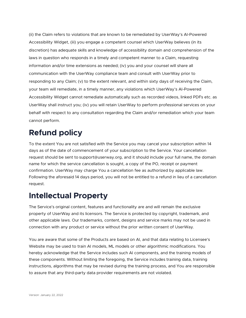(ii) the Claim refers to violations that are known to be remediated by UserWay's AI-Powered Accessibility Widget, (iii) you engage a competent counsel which UserWay believes (in its discretion) has adequate skills and knowledge of accessibility domain and comprehension of the laws in question who responds in a timely and competent manner to a Claim, requesting information and/or time extensions as needed; (iv) you and your counsel will share all communication with the UserWay compliance team and consult with UserWay prior to responding to any Claim; (v) to the extent relevant, and within sixty days of receiving the Claim, your team will remediate, in a timely manner, any violations which UserWay's AI-Powered Accessibility Widget cannot remediate automatically such as recorded videos, linked PDFs etc. as UserWay shall instruct you; (iv) you will retain UserWay to perform professional services on your behalf with respect to any consultation regarding the Claim and/or remediation which your team cannot perform.

## **Refund policy**

To the extent You are not satisfied with the Service you may cancel your subscription within 14 days as of the date of commencement of your subscription to the Service. Your cancellation request should be sent to support@userway.org, and it should include your full name, the domain name for which the service cancellation is sought, a copy of the PO, receipt or payment confirmation. UserWay may charge You a cancellation fee as authorized by applicable law. Following the aforesaid 14 days period, you will not be entitled to a refund in lieu of a cancellation request.

## **Intellectual Property**

The Service's original content, features and functionality are and will remain the exclusive property of UserWay and its licensors. The Service is protected by copyright, trademark, and other applicable laws. Our trademarks, content, designs and service marks may not be used in connection with any product or service without the prior written consent of UserWay.

You are aware that some of the Products are based on AI, and that data relating to Licensee's Website may be used to train AI models, ML models or other algorithmic modifications. You hereby acknowledge that the Service includes such AI components, and the training models of these components. Without limiting the foregoing, the Service includes training data, training instructions, algorithms that may be revised during the training process, and You are responsible to assure that any third-party data provider requirements are not violated.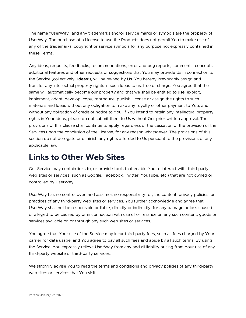The name "UserWay" and any trademarks and/or service marks or symbols are the property of UserWay. The purchase of a License to use the Products does not permit You to make use of any of the trademarks, copyright or service symbols for any purpose not expressly contained in these Terms.

Any ideas, requests, feedbacks, recommendations, error and bug reports, comments, concepts, additional features and other requests or suggestions that You may provide Us in connection to the Service (collectively "**Ideas**"), will be owned by Us. You hereby irrevocably assign and transfer any intellectual property rights in such Ideas to us, free of charge. You agree that the same will automatically become our property and that we shall be entitled to use, exploit, implement, adapt, develop, copy, reproduce, publish, license or assign the rights to such materials and Ideas without any obligation to make any royalty or other payment to You, and without any obligation of credit or notice to You. If You intend to retain any intellectual property rights in Your Ideas, please do not submit them to Us without Our prior written approval. The provisions of this clause shall continue to apply regardless of the cessation of the provision of the Services upon the conclusion of the License, for any reason whatsoever. The provisions of this section do not derogate or diminish any rights afforded to Us pursuant to the provisions of any applicable law.

#### **Links to Other Web Sites**

Our Service may contain links to, or provide tools that enable You to interact with, third-party web sites or services (such as Google, Facebook, Twitter, YouTube, etc.) that are not owned or controlled by UserWay.

UserWay has no control over, and assumes no responsibility for, the content, privacy policies, or practices of any third-party web sites or services. You further acknowledge and agree that UserWay shall not be responsible or liable, directly or indirectly, for any damage or loss caused or alleged to be caused by or in connection with use of or reliance on any such content, goods or services available on or through any such web sites or services.

You agree that Your use of the Service may incur third-party fees, such as fees charged by Your carrier for data usage, and You agree to pay all such fees and abide by all such terms. By using the Service, You expressly relieve UserWay from any and all liability arising from Your use of any third-party website or third-party services.

We strongly advise You to read the terms and conditions and privacy policies of any third-party web sites or services that You visit.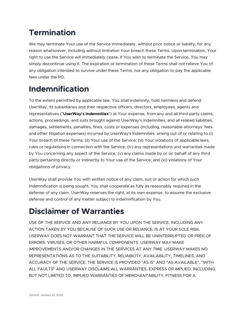# **Termination**

We may terminate Your use of the Service immediately, without prior notice or liability, for any reason whatsoever, including without limitation Your breach these Terms. Upon termination, Your right to use the Service will immediately cease. If You wish to terminate the Service, You may simply discontinue using it. The expiration or termination of these Terms shall not relieve You of any obligation intended to survive under these Terms, nor any obligation to pay the applicable fees under the PO.

## **Indemnification**

To the extent permitted by applicable law, You shall indemnify, hold harmless and defend UserWay, its subsidiaries and their respective officers, directors, employees, agents and representatives ("**UserWay's Indemnities**") at Your expense, from any and all third-party claims, actions, proceedings, and suits brought against UserWay's Indemnities, and all related liabilities, damages, settlements, penalties, fines, costs or expenses (including, reasonable attorneys' fees and other litigation expenses) incurred by UserWay's Indemnities, arising out of or relating to (i) Your breach of these Terms; (ii) Your use of the Service; (iii) Your violations of applicable laws, rules or regulations in connection with the Service; (iv) any representations and warranties made by You concerning any aspect of the Service; (v) any claims made by or on behalf of any third party pertaining directly or indirectly to Your use of the Service; and (vi) violations of Your obligations of privacy.

UserWay shall provide You with written notice of any claim, suit or action for which such indemnification is being sought. You shall cooperate as fully as reasonably required in the defense of any claim. UserWay reserves the right, at its own expense, to assume the exclusive defense and control of any matter subject to indemnification by You.

# **Disclaimer of Warranties**

USE OF THE SERVICE AND ANY RELIANCE BY YOU UPON THE SERVICE, INCLUDING ANY ACTION TAKEN BY YOU BECAUSE OF SUCH USE OR RELIANCE, IS AT YOUR SOLE RISK. USERWAY DOES NOT WARRANT THAT THE SERVICE WILL BE UNINTERRUPTED OR FREE OF ERRORS, VIRUSES, OR OTHER HARMFUL COMPONENTS. USERWAY MAY MAKE IMPROVEMENTS AND/OR CHANGES IN THE SERVICES AT ANY TIME. USERWAY MAKES NO REPRESENTATIONS AS TO THE SUITABILITY, RELIABILITY, AVAILABILITY, TIMELINES, AND ACCURACY OF THE SERVICE. THE SERVICE IS PROVIDED "AS IS" AND "AS AVAILABLE", "WITH ALL FAULTS" AND USERWAY DISCLAIMS ALL WARRANTIES, EXPRESS OR IMPLIED, INCLUDING, BUT NOT LIMITED TO, IMPLIED WARRANTIES OF MERCHANTABILITY, FITNESS FOR A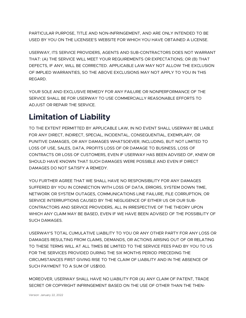PARTICULAR PURPOSE, TITLE AND NON-INFRINGEMENT, AND ARE ONLY INTENDED TO BE USED BY YOU ON THE LICENSEE'S WEBSITE FOR WHICH YOU HAVE OBTAINED A LICENSE.

USERWAY, ITS SERVICE PROVIDERS, AGENTS AND SUB-CONTRACTORS DOES NOT WARRANT THAT: (A) THE SERVICE WILL MEET YOUR REQUIREMENTS OR EXPECTATIONS; OR (B) THAT DEFECTS, IF ANY, WILL BE CORRECTED. APPLICABLE LAW MAY NOT ALLOW THE EXCLUSION OF IMPLIED WARRANTIES, SO THE ABOVE EXCLUSIONS MAY NOT APPLY TO YOU IN THIS REGARD.

YOUR SOLE AND EXCLUSIVE REMEDY FOR ANY FAILURE OR NONPERFORMANCE OF THE SERVICE SHALL BE FOR USERWAY TO USE COMMERCIALLY REASONABLE EFFORTS TO ADJUST OR REPAIR THE SERVICE.

# **Limitation of Liability**

TO THE EXTENT PERMITTED BY APPLICABLE LAW, IN NO EVENT SHALL USERWAY BE LIABLE FOR ANY DIRECT, INDIRECT, SPECIAL, INCIDENTAL, CONSEQUENTIAL, EXEMPLARY, OR PUNITIVE DAMAGES, OR ANY DAMAGES WHATSOEVER, INCLUDING, BUT NOT LIMITED TO LOSS OF USE, SALES, DATA, PROFITS LOSS OF OR DAMAGE TO BUSINESS, LOSS OF CONTRACTS OR LOSS OF CUSTOMERS, EVEN IF USERWAY HAS BEEN ADVISED OF, KNEW OR SHOULD HAVE KNOWN THAT SUCH DAMAGES WERE POSSIBLE AND EVEN IF DIRECT DAMAGES DO NOT SATISFY A REMEDY.

YOU FURTHER AGREE THAT WE SHALL HAVE NO RESPONSIBILITY FOR ANY DAMAGES SUFFERED BY YOU IN CONNECTION WITH LOSS OF DATA, ERRORS, SYSTEM DOWN TIME, NETWORK OR SYSTEM OUTAGES, COMMUNICATIONS LINE FAILURE, FILE CORRUPTION, OR SERVICE INTERRUPTIONS CAUSED BY THE NEGLIGENCE OF EITHER US OR OUR SUB-CONTRACTORS AND SERVICE PROVIDERS, ALL IN IRRESPECTIVE OF THE THEORY UPON WHICH ANY CLAIM MAY BE BASED, EVEN IF WE HAVE BEEN ADVISED OF THE POSSIBILITY OF SUCH DAMAGES.

USERWAY'S TOTAL CUMULATIVE LIABILITY TO YOU OR ANY OTHER PARTY FOR ANY LOSS OR DAMAGES RESULTING FROM CLAIMS, DEMANDS, OR ACTIONS ARISING OUT OF OR RELATING TO THESE TERMS WILL AT ALL TIMES BE LIMITED TO THE SERVICE FEES PAID BY YOU TO US FOR THE SERVICES PROVIDED DURING THE SIX MONTHS PERIOD PRECEDING THE CIRCUMSTANCES FIRST GIVING RISE TO THE CLAIM OF LIABILITY AND IN THE ABSENCE OF SUCH PAYMENT TO A SUM OF US\$100.

MOREOVER, USERWAY SHALL HAVE NO LIABILITY FOR (A) ANY CLAIM OF PATENT, TRADE SECRET OR COPYRIGHT INFRINGEMENT BASED ON THE USE OF OTHER THAN THE THEN-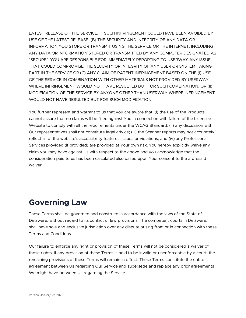LATEST RELEASE OF THE SERVICE, IF SUCH INFRINGEMENT COULD HAVE BEEN AVOIDED BY USE OF THE LATEST RELEASE, (B) THE SECURITY AND INTEGRITY OF ANY DATA OR INFORMATION YOU STORE OR TRANSMIT USING THE SERVICE OR THE INTERNET, INCLUDING ANY DATA OR INFORMATION STORED OR TRANSMITTED BY ANY COMPUTER DESIGNATED AS "SECURE". YOU ARE RESPONSIBLE FOR IMMEDIATELY REPORTING TO USERWAY ANY ISSUE THAT COULD COMPROMISE THE SECURITY OR INTEGRITY OF ANY USER OR SYSTEM TAKING PART IN THE SERVICE OR (C) ANY CLAIM OF PATENT INFRINGEMENT BASED ON THE (I) USE OF THE SERVICE IN COMBINATION WITH OTHER MATERIALS NOT PROVIDED BY USERWAY WHERE INFRINGEMENT WOULD NOT HAVE RESULTED BUT FOR SUCH COMBINATION, OR (II) MODIFICATION OF THE SERVICE BY ANYONE OTHER THAN USERWAY WHERE INFRINGEMENT WOULD NOT HAVE RESULTED BUT FOR SUCH MODIFICATION.

You further represent and warrant to us that you are aware that: (i) the use of the Products cannot assure that no claims will be filled against You in connection with failure of the Licensee Website to comply with all the requirements under the WCAG Standard; (ii) any discussion with Our representatives shall not constitute legal advice; (iii) the Scanner reports may not accurately reflect all of the website's accessibility features, issues or violations; and (iv) any Professional Services provided (if provided) are provided at Your own risk. You hereby explicitly waive any claim you may have against Us with respect to the above and you acknowledge that the consideration paid to us has been calculated also based upon Your consent to the aforesaid waiver.

#### **Governing Law**

These Terms shall be governed and construed in accordance with the laws of the State of Delaware, without regard to its conflict of law provisions. The competent courts in Delaware, shall have sole and exclusive jurisdiction over any dispute arising from or in connection with these Terms and Conditions.

Our failure to enforce any right or provision of these Terms will not be considered a waiver of those rights. If any provision of these Terms is held to be invalid or unenforceable by a court, the remaining provisions of these Terms will remain in effect. These Terms constitute the entire agreement between Us regarding Our Service and supersede and replace any prior agreements We might have between Us regarding the Service.